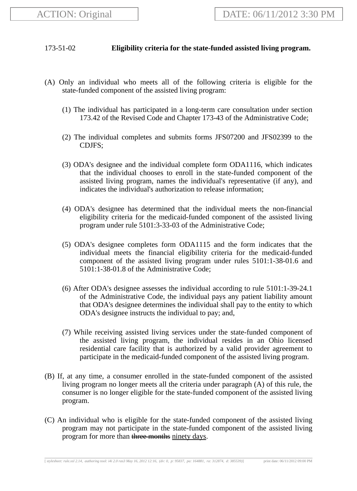## 173-51-02 **Eligibility criteria for the state-funded assisted living program.**

- (A) Only an individual who meets all of the following criteria is eligible for the state-funded component of the assisted living program:
	- (1) The individual has participated in a long-term care consultation under section 173.42 of the Revised Code and Chapter 173-43 of the Administrative Code;
	- (2) The individual completes and submits forms JFS07200 and JFS02399 to the CDJFS;
	- (3) ODA's designee and the individual complete form ODA1116, which indicates that the individual chooses to enroll in the state-funded component of the assisted living program, names the individual's representative (if any), and indicates the individual's authorization to release information;
	- (4) ODA's designee has determined that the individual meets the non-financial eligibility criteria for the medicaid-funded component of the assisted living program under rule 5101:3-33-03 of the Administrative Code;
	- (5) ODA's designee completes form ODA1115 and the form indicates that the individual meets the financial eligibility criteria for the medicaid-funded component of the assisted living program under rules 5101:1-38-01.6 and 5101:1-38-01.8 of the Administrative Code;
	- (6) After ODA's designee assesses the individual according to rule 5101:1-39-24.1 of the Administrative Code, the individual pays any patient liability amount that ODA's designee determines the individual shall pay to the entity to which ODA's designee instructs the individual to pay; and,
	- (7) While receiving assisted living services under the state-funded component of the assisted living program, the individual resides in an Ohio licensed residential care facility that is authorized by a valid provider agreement to participate in the medicaid-funded component of the assisted living program.
- (B) If, at any time, a consumer enrolled in the state-funded component of the assisted living program no longer meets all the criteria under paragraph (A) of this rule, the consumer is no longer eligible for the state-funded component of the assisted living program.
- (C) An individual who is eligible for the state-funded component of the assisted living program may not participate in the state-funded component of the assisted living program for more than three months ninety days.

[ *stylesheet: rule.xsl 2.14, authoring tool: i4i 2.0 ras3 May 16, 2012 12:16, (dv: 0, p: 95837, pa: 164881, ra: 312874, d: 385539)*] print date: 06/11/2012 09:00 PM